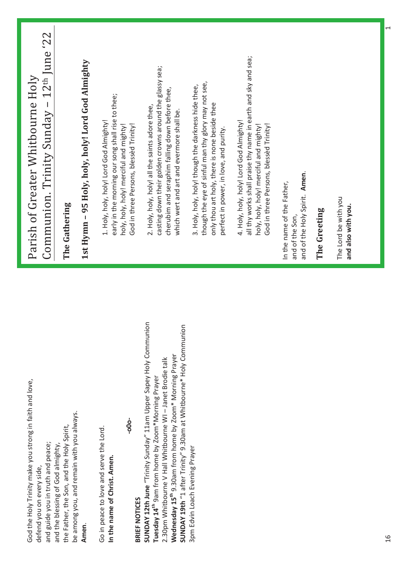| Communion. Trinity Sunday - 12 <sup>th</sup> June '22<br>Parish of Greater Whitbourne Holy                                | The Gathering                                                                                                               | 1st Hymn - 95 Holy, holy, holy! Lord God Almighty | early in the morning our song shall rise to thee;<br>1. Holy, holy, holy! Lord God Almighty! | God in three Persons, blessed Trinity!<br>holy, holy, holy! merciful and mighty! | casting down their golden crowns around the glassy sea;<br>cherubim and seraphim falling down before thee,<br>2. Holy, holy, holy! all the saints adore thee,<br>which wert and art and evermore shall be.                                                                                                                                  | though the eye of sinful man thy glory may not see,<br>3. Holy, holy, holy! though the darkness hide thee,<br>only thou art holy, there is none beside thee<br>perfect in power, in love, and purity. | all thy works shall praise thy name in earth and sky and sea;<br>4. Holy, holy, holy! Lord God Almighty!<br>God in three Persons, blessed Trinity!<br>holy, holy, holy! merciful and mighty! | and of the Holy Spirit. Amen.<br>In the name of the Father,<br>and of the Son, | The Greeting | The Lord be with you<br>and also with you. |
|---------------------------------------------------------------------------------------------------------------------------|-----------------------------------------------------------------------------------------------------------------------------|---------------------------------------------------|----------------------------------------------------------------------------------------------|----------------------------------------------------------------------------------|---------------------------------------------------------------------------------------------------------------------------------------------------------------------------------------------------------------------------------------------------------------------------------------------------------------------------------------------|-------------------------------------------------------------------------------------------------------------------------------------------------------------------------------------------------------|----------------------------------------------------------------------------------------------------------------------------------------------------------------------------------------------|--------------------------------------------------------------------------------|--------------|--------------------------------------------|
| God the Holy Trinity make you strong in faith and love,<br>and guide you in truth and peace;<br>defend you on every side, | be among you, and remain with you always.<br>the Father, the Son, and the Holy Spirit,<br>and the blessing of God almighty, | Amen.                                             | Go in peace to love and serve the Lord.<br>In the name of Christ. Amen.                      | -000-<br>BRIEF NOTICES                                                           | SUNDAY 12th June "Trinity Sunday" 11am Upper Sapey Holy Communion<br>SUNDAY 19th "1 after Trinity" 9.30am at Whitbourne* Holy Communior<br>Wednesday 15 <sup>th</sup> 9.30am from home by Zoom* Morning Prayer<br>2.30pm Whitbourne V Hall Whitbourne WI-Janet Brodie talk<br>Tuesday 14 <sup>th</sup> 9am from home by Zoom*Morning Prayer | 3pm Edvin Loach Evening Prayer                                                                                                                                                                        |                                                                                                                                                                                              |                                                                                |              |                                            |

1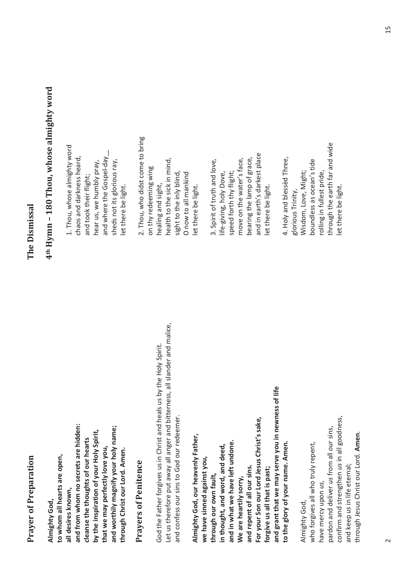## **Prayer of Preparation Prayer of Preparation**

**and from whom no secrets are hidden:**  and from whom no secrets are hidden: **and worthily magnify your holy name;**  and worthily magnify your holy name; **by the inspiration of your Holy Spirit,**  oy the inspiration of your Holy Spirit, **cleanse the thoughts of our hearts**  cleanse the thoughts of our hearts **that we may perfectly love you,**  that we may perfectly love you, **through Christ our Lord. Amen.**  through Christ our Lord. Amen. **to whom all hearts are open,**  to whom all hearts are open, **all desires known,**  all desires known, **Almighty God,**  Almighty God,

## **Prayers of Penitence Prayers of Penitence**

Let us therefore put away all anger and bitterness, all slander and malice, et us therefore put away all anger and bitterness, all slander and malice, e Holy Spirit. God the Father forgives us in Christ and heals us by the Holy Spirit. God the Father forgives us in Christ and heals us by th and confess our sins to God our redeemer. and confess our sins to God our redeemer.

**and grant that we may serve you in newness of life**  and grant that we may serve you in newness of life -or your Son our Lord Jesus Christ's sake, **For your Son our Lord Jesus Christ's sake, Almighty God, our heavenly Father,**  Almighty God, our heavenly Father, **and in what we have left undone. to the glory of your name. Amen.**  and in what we have left undone. **in thought, and word, and deed,**  the glory of your name. Amen. n thought, and word, and deed, **we have sinned against you,**  we have sinned against you, and repent of all our sins. **and repent of all our sins.**  forgive us all that is past; **forgive us all that is past; through our own fault,**  through our own fault, We are heartily sorry, **We are heartily sorry,** 

confirm and strengthen *us* in all goodness, confirm and strengthen us in all goodness, pardon and deliver *us* from all *our* sins, pardon and deliver us from all our sins, through Jesus Christ our Lord. **Amen**. through Jesus Christ our Lord. Amen. who forgives all who truly repent, who forgives all who truly repent, and keep *us* in life eternal; and keep us in life eternal; have mercy upon *us*, have mercy upon us, Almighty God, Almighty God,

#### **The Dismissal**  The Dismissal

# **4th Hymn – 180 Thou, whose almighty word**  4th Hymn - 180 Thou, whose almighty word

1. Thou, whose almighty word 1. Thou, whose almighty word and where the Gospel-day $\_$ and where the Gospel-day chaos and darkness heard, chaos and darkness heard, sheds not its glorious ray, hear us, we humbly pray, sheds not its glorious ray, hear us, we humbly pray, and took their flight; and took their flight; let there be light. et there be light.

2. Thou, who didst come to bring 2. Thou, who didst come to bring health to the sick in mind, nealth to the sick in mind, on thy redeeming wing on thy redeeming wing sight to the inly blind, O now to all mankind O now to all mankind sight to the inly blind, healing and sight, healing and sight, let there be light. et there be light.

and in earth's darkest place and in earth's darkest place bearing the lamp of grace, bearing the lamp of grace, 3. Spirit of truth and love, 3. Spirit of truth and love, move on the water's face, move on the water's face, speed forth thy flight; life-giving, holy Dove, life-giving, holy Dove, speed forth thy flight; let there be light. et there be light.

through the earth far and wide through the earth far and wide 4. Holy and blessèd Three, 4. Holy and blessed Three, boundless as ocean's tide boundless as ocean's tide Wisdom, Love, Might; rolling in fullest pride, Wisdom, Love, Might; rolling in fullest pride, let there be light. et there be light. glorious Trinity, glorious Trinity,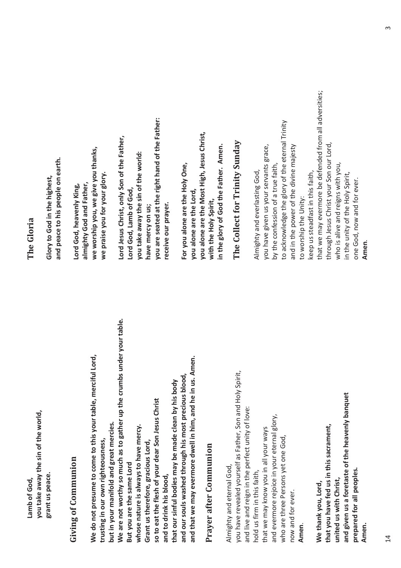**you take away the sin of the world,**  you take away the sin of the world, **grant us peace.**  grant us peace. **Lamb of God,**  Lamb of God.

## **Giving of Communion Giving of Communion**

**We are not worthy so much as to gather up the crumbs under your table.**  Ne are not worthy so much as to gather up the crumbs under your table. **We do not presume to come to this your table, merciful Lord, and that we may evermore dwell in him, and he in us. Amen.**  We do not presume to come to this your table, merciful Lord, and that we may evermore dwell in him, and he in us. Amen. **and our souls washed through his most precious blood,**  and our souls washed through his most precious blood, **that our sinful bodies may be made clean by his body**  that our sinful bodies may be made clean by his body. **so to eat the flesh of your dear Son Jesus Christ**  so to eat the flesh of your dear Son Jesus Christ **but in your manifold and great mercies.**  but in your manifold and great mercies. **whose nature is always to have mercy.**  whose nature is always to have mercy. **trusting in our own righteousness,**  trusting in our own righteousness, **Grant us therefore, gracious Lord,**  Grant us therefore, gracious Lord, But you are the same Lord **But you are the same Lord**  and to drink his blood, **and to drink his blood,** 

# **Prayer after Communion**  Prayer after Communion

you have revealed yourself as Father, Son and Holy Spirit, ou have revealed yourself as Father, Son and Holy Spirit, and live and reign in the perfect unity of love: and live and reign in the perfect unity of love: and evermore rejoice in your eternal glory, and evermore rejoice in your eternal glory, that we may know you in all your ways that we may know you in all your ways who are three Persons yet one God, who are three Persons yet one God, Almighty and eternal God, Almighty and eternal God, hold us firm in this faith, nold us firm in this faith, now and for ever. now and for ever. **Amen**.

**and given us a foretaste of the heavenly banquet**  and given us a foretaste of the heavenly banquet **that you have fed us in this sacrament,**  that you have fed us in this sacrament, **prepared for all peoples.**  orepared for all peoples. **united us with Christ,**  united us with Christ, **We thank you, Lord, Ne thank you, Lord, Amen.** 

#### **The Gloria**  The Gloria

**and peace to his people on earth.**  and peace to his people on earth. **Glory to God in the highest,**  Glory to God in the highest,

**we worship you, we give you thanks,**  we worship you, we give you thanks, **we praise you for your glory.**  we praise you for your glory. **almighty God and Father,**  almighty God and Father, **Lord God, heavenly King,**  Lord God, heavenly King,

**you are seated at the right hand of the Father:**  you are seated at the right hand of the Father: **Lord Jesus Christ, only Son of the Father,**  Lord Jesus Christ, only Son of the Father, **you take away the sin of the world:**  you take away the sin of the world: **Lord God, Lamb of God,**  Lord God, Lamb of God, **receive our prayer.**  receive our prayer. **have mercy on us;**  have mercy on us;

**you alone are the Most High, Jesus Christ,**  you alone are the Most High, Jesus Christ, **in the glory of God the Father. Amen.**  in the glory of God the Father. Amen. **For you alone are the Holy One,**  For you alone are the Holy One, **you alone are the Lord,**  you alone are the Lord, **with the Holy Spirit,**  with the Holy Spirit,

# **The Collect for Trinity Sunday**  The Collect for Trinity Sunday

that we may evermore be defended from all adversities; that we may evermore be defended from all adversities; to acknowledge the glory of the eternal Trinity to acknowledge the glory of the eternal Trinity through Jesus Christ your Son our Lord, you have given us your servants grace, and in the power of the divine majesty through Jesus Christ your Son our Lord, you have given us your servants grace, and in the power of the divine majesty by the confession of a true faith, who is alive and reigns with you, by the confession of a true faith, who is alive and reigns with you, Almighty and everlasting God, keep us steadfast in this faith, Almighty and everlasting God, keep us steadfast in this faith, in the unity of the Holy Spirit, n the unity of the Holy Spirit, one God, now and for ever. one God, now and for ever. to worship the Unity: to worship the Unity: **Amen**.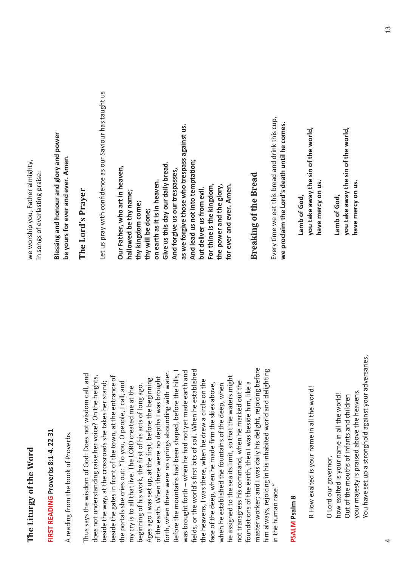## **The Liturgy of the Word**  The Liturgy of the Word

## **Proverbs 8:1-4. 22-31**  FIRST READING Proverbs 8:1-4. 22-31 **FIRST READING**

A reading from the book of Proverbs. A reading from the book of Proverbs.

master worker; and I was daily his delight, rejoicing before master worker; and I was daily his delight, rejoicing before him always, rejoicing in his inhabited world and delighting forth, when there were no springs abounding with water. Before the mountains had been shaped, before the hills, I – when he had not yet made earth and nim always, rejoicing in his inhabited world and delighting was brought forth - when he had not yet made earth and ields, or the world's first bits of soil. When he established fields, or the world's first bits of soil. When he established orth, when there were no springs abounding with water. Thus says the wisdom of God: Does not wisdom call, and Before the mountains had been shaped, before the hills, Thus says the wisdom of God: Does not wisdom call, and does not understanding raise her voice? On the heights, beside the gates in front of the town, at the entrance of he assigned to the sea its limit, so that the waters might does not understanding raise her voice? On the heights, of the earth. When there were no depths I was brought ne assigned to the sea its limit, so that the waters might beside the gates in front of the town, at the entrance of Ages ago I was set up, at the first, before the beginning Ages ago I was set up, at the first, before the beginning of the earth. When there were no depths I was brought the heavens, I was there, when he drew a circle on the beside the way, at the crossroads she takes her stand; the heavens, I was there, when he drew a circle on the not transgress his command, when he marked out the not transgress his command, when he marked out the oundations of the earth, then I was beside him, like a foundations of the earth, then I was beside him, like a the portals she cries out: "To you, O people, I call, and face of the deep, when he made firm the skies above, beside the way, at the crossroads she takes her stand; the portals she cries out: "To you, O people, I call, and beginning of his work, the first of his acts of long ago. when he established the fountains of the deep, when ace of the deep, when he made firm the skies above, when he established the fountains of the deep, when beginning of his work, the first of his acts of long ago. my cry is to all that live. The LORD created me at the my cry is to all that live. The LORD created me at the n the human race." in the human race." was brought forth

#### PSALM Psalm 8 **PSALM Psalm 8**

R How exalted is your name in all the world! R How exalted is your name in all the world!

You have set up a stronghold against your adversaries, You have set up a stronghold against your adversaries, your majesty is praised above the heavens. your majesty is praised above the heavens. how exalted is your name in all the world! how exalted is your name in all the world! Out of the mouths of infants and children Out of the mouths of infants and children O Lord our governor, O Lord our governor,

we worship you, Father almighty, we worship you, Father almighty, in songs of everlasting praise: in songs of everlasting praise:

**Blessing and honour and glory and power**  Blessing and honour and glory and power **be yours for ever and ever. Amen**. be yours for ever and ever. Amen.

**The Lord's Prayer**  The Lord's Prayer

Let us pray with confidence as our Saviour has taught us Let us pray with confidence as our Saviour has taught us

**as we forgive those who trespass against us.**  as we forgive those who trespass against us. **And lead us not into temptation; Give us this day our daily bread.**  And lead us not into temptation; Give us this day our daily bread. **Our Father, who art in heaven,**  Our Father, who art in heaven, **And forgive us our trespasses,**  And forgive us our trespasses, on earth as it is in heaven. **on earth as it is in heaven. For thine is the kingdom, the power and the glory, for ever and ever. Amen.**  for ever and ever. Amen. For thine is the kingdom, the power and the glory, **but deliver us from evil.**  but deliver us from evil. **hallowed be thy name;**  hallowed be thy name; **thy kingdom come;**  thy kingdom come; thy will be done; **thy will be done;** 

## **Breaking of the Bread Breaking of the Bread**

Every time we eat this bread and drink this cup, Every time we eat this bread and drink this cup, **we proclaim the Lord's death until he comes.**  we proclaim the Lord's death until he comes.

**you take away the sin of the world,**  you take away the sin of the world, **have mercy on us.**  have mercy on us. **Lamb of God,**  Lamb of God,

**you take away the sin of the world,**  you take away the sin of the world, **have mercy on us.**  have mercy on us. **Lamb of God,**  Lamb of God,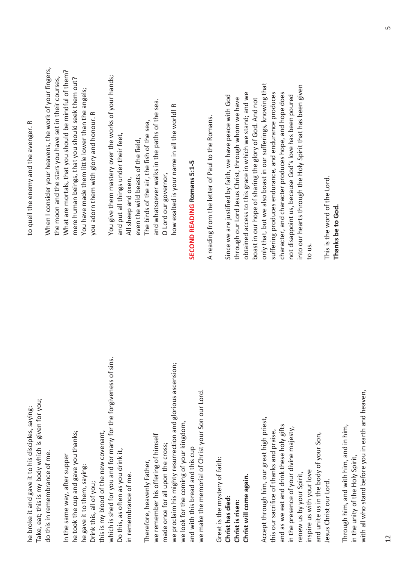| he broke it and gave it to his disciples, saying:                          | to quell the enemy and the avenger. R                        |
|----------------------------------------------------------------------------|--------------------------------------------------------------|
| Take, eat; this is my body which is given for you;                         |                                                              |
| do this in remembrance of me.                                              | When I consider your heavens, the work of your fingers,      |
|                                                                            | the moon and the stars you have set in their courses,        |
| In the same way, after supper                                              | What are mortals, that you should be mindful of them?        |
| he took the cup and gave you thanks;                                       | mere human beings, that you should seek them out?            |
| he gave it to them, saying:                                                | You have made them little lower than the angels;             |
| Drink this, all of you;                                                    | you adorn them with glory and honour. R                      |
| this is my blood of the new covenant,                                      |                                                              |
| which is shed for you and for many for the forgiveness of sins.            | You give them mastery over the works of your hands;          |
| Do this, as often as you drink it,                                         | and put all things under their feet,                         |
| in remembrance of me.                                                      | All sheep and oxen,                                          |
|                                                                            | even the wild beasts of the field,                           |
| Therefore, heavenly Father,                                                | The birds of the air, the fish of the sea,                   |
| we remember his offering of himself                                        | and whatsoever walks in the paths of the sea.                |
| made once for all upon the cross;                                          | O Lord our governor,                                         |
| we proclaim his mighty resurrection and glorious ascension;                | how exalted is your name in all the world! R                 |
| we look for the coming of your kingdom,                                    |                                                              |
| and with this bread and this cup                                           | SECOND READING Romans 5:1-5                                  |
| we make the memorial of Christ your Son our Lord.                          |                                                              |
|                                                                            | A reading from the letter of Paul to the Romans.             |
| Great is the mystery of faith:                                             |                                                              |
| Christ has died:                                                           | Since we are justified by faith, we have peace with God      |
| Christ is risen:                                                           | through our Lord Jesus Christ, through whom we have          |
| Christ will come again.                                                    | obtained access to this grace in which we stand; and we      |
|                                                                            | boast in our hope of sharing the glory of God. And not       |
| Accept through him, our great high priest,                                 | only that, but we also boast in our sufferings, knowing that |
| this our sacrifice of thanks and praise,                                   | suffering produces endurance, and endurance produces         |
| and as we eat and drink these holy gifts                                   | character, and character produces hope, and hope does        |
| in the presence of your divine majesty,                                    | not disappoint us, because God's love has been poured        |
| renew us by your Spirit,                                                   | into our hearts through the Holy Spirit that has been given  |
| inspire us with your love                                                  | to us.                                                       |
| and unite us in the body of your Son,                                      |                                                              |
| Jesus Christ our Lord.                                                     | This is the word of the Lord.                                |
|                                                                            | Thanks be to God.                                            |
| Through him, and with him, and in him,<br>in the unity of the Holy Spirit, |                                                              |
|                                                                            |                                                              |

12

with all who stand before you in earth and heaven,

with all who stand before you in earth and heaven,

 $\overline{5}$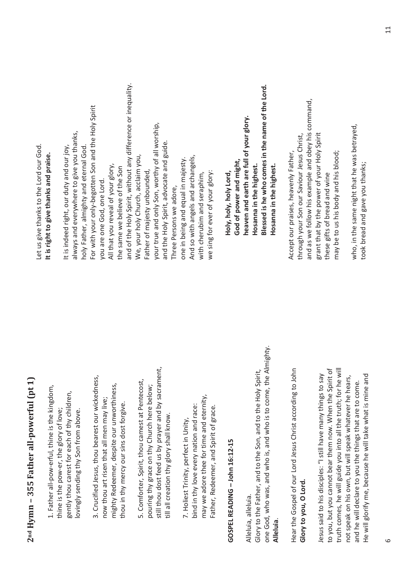# **2nd Hymn – 355 Father all-powerful (pt 1)**

1. Father all-pow-erful, thine is the kingdom, 1. Father all-pow-erful, thine is the kingdom, gently thou carest for each of thy children, gently thou carest for each of thy children, thine is the pow-er, the glory of love; lovingly sending thy Son from above. thine is the pow-er, the glory of love; lovingly sending thy Son from above.

3. Crucified Jesus, thou bearest our wickedness, 3. Crucified Jesus, thou bearest our wickedness, mighty Redeemer, despite our unworthiness, mighty Redeemer, despite our unworthiness, now thou art risen that all men may live; now thou art risen that all men may live; thou in thy mercy our sins dost forgive. thou in thy mercy our sins dost forgive.

still thou dost feed us by prayer and by sacrament, still thou dost feed us by prayer and by sacrament, 5. Comforter, Spirit, thou camest at Pentecost, 5. Comforter, Spirit, thou camest at Pentecost, pouring thy grace on thy Church here below; pouring thy grace on thy Church here below; till all creation thy glory shall know. till all creation thy glory shall know.

may we adore thee for time and eternity, may we adore thee for time and eternity, bind in thy love every nation and race: bind in thy love every nation and race: Father, Redeemer, and Spirit of grace. Father, Redeemer, and Spirit of grace. 7. Holiest Trinity, perfect in Unity, 7. Holiest Trinity, perfect in Unity,

### GOSPEL READING - John 16:12-15 **– John 16:12-15 GOSPEL READING**

one God, who was, and who is, and who is to come, the Almighty. one God, who was, and who is, and who is to come, the Almighty. Glory to the Father, and to the Son, and to the Holy Spirit, Glory to the Father, and to the Son, and to the Holy Spirit, Alleluia, alleluia. Alleluia, alleluia. **Alleluia**.

Hear the Gospel of our Lord Jesus Christ according to John Hear the Gospel of our Lord Jesus Christ according to John Glory to you, O Lord. **Glory to you, O Lord.**

truth comes, he will guide you into all the truth; for he will to you, but you cannot bear them now. When the Spirit of to you, but you cannot bear them now. When the Spirit of truth comes, he will guide you into all the truth; for he will esus said to his disciples: "I still have many things to say He will glorify me, because he will take what is mine and He will glorify me, because he will take what is mine and Jesus said to his disciples: "I still have many things to say not speak on his own, but will speak whatever he hears, not speak on his own, but will speak whatever he hears, and he will declare to you the things that are to come. and he will declare to you the things that are to come.

Let us give thanks to the Lord our God. Let us give thanks to the Lord our God. It is right to give thanks and praise. **It is right to give thanks and praise.** 

and of the Holy Spirit, without any difference or inequality. and of the Holy Spirit, without any difference or inequality. For with your only-begotten Son and the Holy Spirit For with your only-begotten Son and the Holy Spirit your true and only Son, worthy of all worship, your true and only Son, worthy of all worship, always and everywhere to give you thanks, always and everywhere to give you thanks, and the Holy Spirit, advocate and guide. and the Holy Spirit, advocate and guide. It is indeed right, our duty and our joy, holy Father, almighty and eternal God. noly Father, almighty and eternal God. t is indeed right, our duty and our joy, We, your holy Church, acclaim you, And so with angels and archangels, And so with angels and archangels, We, your holy Church, acclaim you, one in being and equal in majesty. one in being and equal in majesty. All that you reveal of your glory, All that you reveal of your glory, the same we believe of the Son the same we believe of the Son Father of majesty unbounded, Father of majesty unbounded, we sing for ever of your glory: with cherubim and seraphim, we sing for ever of your glory: with cherubim and seraphim, you are one God, one Lord. you are one God, one Lord. Three Persons we adore, Three Persons we adore,

**Blessed is he who comes in the name of the Lord.**  Blessed is he who comes in the name of the Lord. **heaven and earth are full of your glory.**  heaven and earth are full of your glory. **God of power and might,**  God of power and might, Hosanna in the highest. **Hosanna in the highest. Hosanna in the highest.**  Hosanna in the highest. **Holy, holy, holy Lord,**  Holy, holy, holy Lord,

and as we follow his example and obey his command, and as we follow his example and obey his command, grant that by the power of your Holy Spirit through your Son our Saviour Jesus Christ, through your Son our Saviour Jesus Christ, grant that by the power of your Holy Spirit Accept our praises, heavenly Father, Accept our praises, heavenly Father, may be to us his body and his blood; may be to us his body and his blood; these gifts of bread and wine these gifts of bread and wine

who, in the same night that he was betrayed, who, in the same night that he was betrayed, took bread and gave you thanks; took bread and gave you thanks;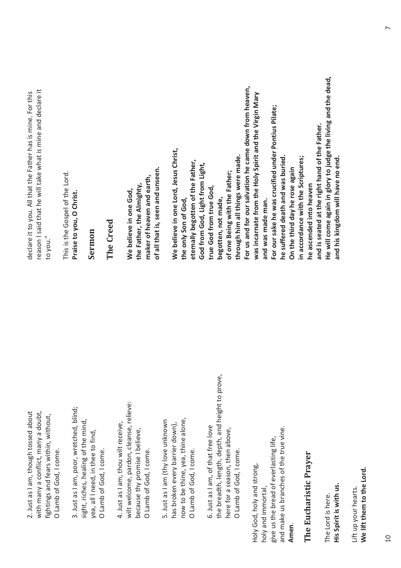with many a conflict, many a doubt, 2. Just as I am, though tossed about 2. Just as I am, though tossed about with many a conflict, many a doubt, fightings and fears within, without, fightings and fears within, without, O Lamb of God, I come. O Lamb of God, I come.

3. Just as I am, poor, wretched, blind; 3. Just as I am, poor, wretched, blind; sight, riches, healing of the mind, sight, riches, healing of the mind, yea, all I need, in thee to find, yea, all I need, in thee to find, O Lamb of God, I come. O Lamb of God, I come.

wilt welcome, pardon, cleanse, relieve: wilt welcome, pardon, cleanse, relieve: 4. Just as I am, thou wilt receive, 4. Just as I am, thou wilt receive, because thy promise I believe, because thy promise I believe, O Lamb of God, I come. O Lamb of God, I come.

now to be thine, yea, thine alone, 5. Just as I am (thy love unknown now to be thine, yea, thine alone, 5. Just as I am (thy love unknown has broken every barrier down), has broken every barrier down), O Lamb of God, I come. O Lamb of God, I come.

the breadth, length, depth, and height to prove, the breadth, length, depth, and height to prove, 6. Just as I am, of that free love 6. Just as I am, of that free love here for a season, then above, here for a season, then above, O Lamb of God, I come. O Lamb of God, I come.

and make us branches of the true vine. and make us branches of the true vine. give us the bread of everlasting life, give us the bread of everlasting life, Holy God, holy and strong, Holy God, holy and strong, holy and immortal, noly and immortal, **Amen**.

## **The Eucharistic Prayer**  The Eucharistic Prayer

**His Spirit is with us.**  His Spirit is with us. The Lord is here. The Lord is here.

**We lift them to the Lord.** We lift them to the Lord. Lift up your hearts. Lift up your hearts.

reason I said that he will take what is mine and declare it reason I said that he will take what is mine and declare it declare it to you. All that the Father has is mine. For this declare it to you. All that the Father has is mine. For this to you."

This is the Gospel of the Lord. This is the Gospel of the Lord. **Praise to you, O Christ.**  Praise to you, O Christ.

### **Sermon**

#### **The Creed**  The Creed

**of all that is, seen and unseen.**  of all that is, seen and unseen. **maker of heaven and earth,**  maker of heaven and earth, **the Father, the Almighty,**  the Father, the Almighty, **We believe in one God,**  We believe in one God,

**He will come again in glory to judge the living and the dead,**  He will come again in glory to judge the living and the dead, For us and for our salvation he came down from heaven, **For us and for our salvation he came down from heaven, was incarnate from the Holy Spirit and the Virgin Mary**  was incarnate from the Holy Spirit and the Virgin Mary **For our sake he was crucified under Pontius Pilate;**  For our sake he was crucified under Pontius Pilate; and is seated at the right hand of the Father. **and is seated at the right hand of the Father. We believe in one Lord, Jesus Christ,**  We believe in one Lord, Jesus Christ, **through him all things were made. he suffered death and was buried.**  through him all things were made. **and his kingdom will have no end. in accordance with the Scriptures;**  he suffered death and was buried. in accordance with the Scriptures; and his kingdom will have no end. **eternally begotten of the Father,**  eternally begotten of the Father, **God from God, Light from Light,**  God from God, Light from Light, **On the third day he rose again**  On the third day he rose again of one Being with the Father; **of one Being with the Father; he ascended into heaven**  he ascended into heaven **true God from true God,**  true God from true God, **the only Son of God,**  begotten, not made, **begotten, not made,**  and was made man. **and was made man.**  the only Son of God,